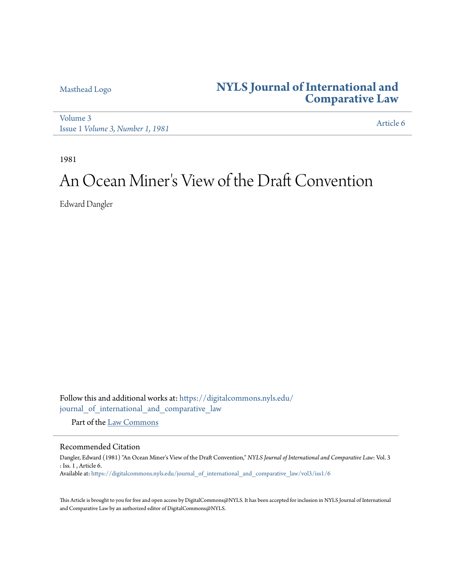## [Masthead Logo](http://www.nyls.edu/?utm_source=digitalcommons.nyls.edu%2Fjournal_of_international_and_comparative_law%2Fvol3%2Fiss1%2F6&utm_medium=PDF&utm_campaign=PDFCoverPages) **[NYLS Journal of International and](https://digitalcommons.nyls.edu/journal_of_international_and_comparative_law?utm_source=digitalcommons.nyls.edu%2Fjournal_of_international_and_comparative_law%2Fvol3%2Fiss1%2F6&utm_medium=PDF&utm_campaign=PDFCoverPages) [Comparative Law](https://digitalcommons.nyls.edu/journal_of_international_and_comparative_law?utm_source=digitalcommons.nyls.edu%2Fjournal_of_international_and_comparative_law%2Fvol3%2Fiss1%2F6&utm_medium=PDF&utm_campaign=PDFCoverPages)**

[Volume 3](https://digitalcommons.nyls.edu/journal_of_international_and_comparative_law/vol3?utm_source=digitalcommons.nyls.edu%2Fjournal_of_international_and_comparative_law%2Fvol3%2Fiss1%2F6&utm_medium=PDF&utm_campaign=PDFCoverPages) Issue 1 *[Volume 3, Number 1, 1981](https://digitalcommons.nyls.edu/journal_of_international_and_comparative_law/vol3/iss1?utm_source=digitalcommons.nyls.edu%2Fjournal_of_international_and_comparative_law%2Fvol3%2Fiss1%2F6&utm_medium=PDF&utm_campaign=PDFCoverPages)* [Article 6](https://digitalcommons.nyls.edu/journal_of_international_and_comparative_law/vol3/iss1/6?utm_source=digitalcommons.nyls.edu%2Fjournal_of_international_and_comparative_law%2Fvol3%2Fiss1%2F6&utm_medium=PDF&utm_campaign=PDFCoverPages)

1981

# An Ocean Miner 's View of the Draft Convention

Edward Dangler

Follow this and additional works at: [https://digitalcommons.nyls.edu/](https://digitalcommons.nyls.edu/journal_of_international_and_comparative_law?utm_source=digitalcommons.nyls.edu%2Fjournal_of_international_and_comparative_law%2Fvol3%2Fiss1%2F6&utm_medium=PDF&utm_campaign=PDFCoverPages) [journal\\_of\\_international\\_and\\_comparative\\_law](https://digitalcommons.nyls.edu/journal_of_international_and_comparative_law?utm_source=digitalcommons.nyls.edu%2Fjournal_of_international_and_comparative_law%2Fvol3%2Fiss1%2F6&utm_medium=PDF&utm_campaign=PDFCoverPages)

Part of the [Law Commons](http://network.bepress.com/hgg/discipline/578?utm_source=digitalcommons.nyls.edu%2Fjournal_of_international_and_comparative_law%2Fvol3%2Fiss1%2F6&utm_medium=PDF&utm_campaign=PDFCoverPages)

### Recommended Citation

Dangler, Edward (1981) "An Ocean Miner's View of the Draft Convention," *NYLS Journal of International and Comparative Law*: Vol. 3 : Iss. 1 , Article 6. Available at: [https://digitalcommons.nyls.edu/journal\\_of\\_international\\_and\\_comparative\\_law/vol3/iss1/6](https://digitalcommons.nyls.edu/journal_of_international_and_comparative_law/vol3/iss1/6?utm_source=digitalcommons.nyls.edu%2Fjournal_of_international_and_comparative_law%2Fvol3%2Fiss1%2F6&utm_medium=PDF&utm_campaign=PDFCoverPages)

This Article is brought to you for free and open access by DigitalCommons@NYLS. It has been accepted for inclusion in NYLS Journal of International and Comparative Law by an authorized editor of DigitalCommons@NYLS.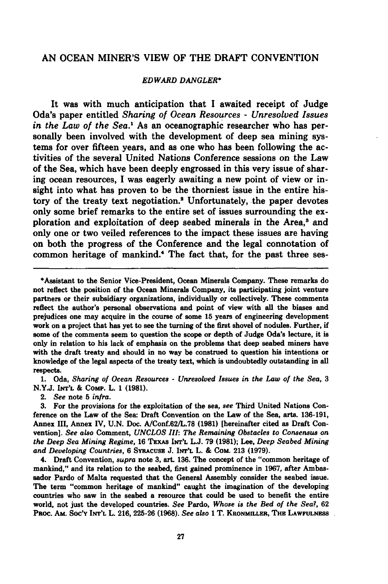#### **AN OCEAN** MINER'S VIEW OF THE DRAFT **CONVENTION**

#### *EDWARD DANGLER\**

It was with much anticipation that I awaited receipt of Judge Oda's paper entitled *Sharing of Ocean Resources* **-** *Unresolved Issues in the Law of the Sea.1* As an oceanographic researcher who has personally been involved with the development of deep sea mining systems for over fifteen years, and as one who has been following the activities of the several United Nations Conference sessions on the Law of the Sea, which have been deeply engrossed in this very issue of sharing ocean resources, I was eagerly awaiting a new point **of** view or insight into what has proven to be the thorniest issue in the entire history of the treaty text negotiation.' Unfortunately, the paper devotes only some brief remarks to the entire set of issues surrounding the exploration and exploitation of deep seabed minerals in the Area,<sup>3</sup> and only one or two veiled references to the impact these issues are having on both the progress of the Conference and the legal connotation of common heritage of mankind.4 The fact that, for the past three ses-

**1.** Oda, *Sharing of Ocean Resources* **-** *Unresolved Issues in the Law of the Sea, 3* **N.Y.J. INT'L & Comp.** L. **1 (1981).**

2. *See* note **5** *infra.*

**3.** For the provisions for the exploitation of the sea, *see* Third United Nations Conference on the Law of the Sea: Draft Convention on the Law of the Sea, arts. **136-191,** Annex III, Annex IV, **U.N.** Doc. A/Conf.62/L.78 **(1981)** [hereinafter cited as Draft Convention]. *See also* Comment, *UNCLOS III: The Remaining Obstacles to Consensus on* the Deep Sea *Mining Regime,* **16 TEXAs INT'L L.J. 79 (1981);** Lee, *Deep Seabed Mining and Developing Countries,* **6** SYRAcUsE **J. INT'L** L. **&** CoM. **213 (1979).**

4. Draft Convention, *supra* note **3,** art. **136.** The concept of the "common heritage of mankind," and its relation to the seabed, first gained prominence in **1967,** after Ambassador Pardo of Malta requested that the General Assembly consider the seabed issue. The term "common heritage of mankind" caught the imagination of the developing countries who saw in the seabed a resource that could be used to benefit the entire world, not just the developed countries. *See* Pardo, *Whose is the Bed of the Sea?,* **62** Paoc. **Am.** Soc'y **INT'L** L. **216, 225-26 (1968).** *See also* **1** T. KEONMILLER, THE **LAWFULNESS**

<sup>\*</sup>Assistant to the Senior Vice-President, Ocean Minerals Company. These remarks do not reflect the position of the Ocean Minerals Company, its participating joint venture partners or their subsidiary organizations, individually or collectively. These comments reflect the author's personal observations and point of view with all the biases and prejudices one may acquire in the course of some **15** years of engineering development work on a project that has yet to see the turning of the first shovel of nodules. Further, if some of the comments seem to question the scope or depth of Judge Oda's lecture, it is only in relation to his lack of emphasis on the problems that deep seabed miners have with the draft treaty and should in no way be construed to question his intentions or knowledge of the legal aspects of the treaty text, which is undoubtedly outstanding in all respects.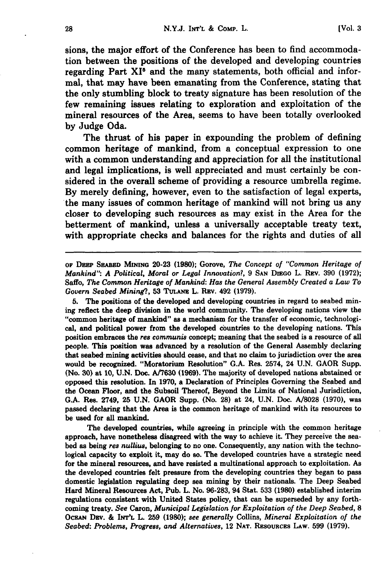sions, the major effort of the Conference has been to find accommodation between the positions of the developed and developing countries regarding Part  $XI^{\circ}$  and the many statements, both official and informal, that may have been emanating from the Conference, stating that the only stumbling block to treaty signature has been resolution of the few remaining issues relating to exploration and exploitation of the mineral resources of the Area, seems to have been totally overlooked **by** Judge Oda.

The thrust of his paper in expounding the problem of defining common heritage of mankind, from a conceptual expression to one with a common understanding and appreciation for all the institutional and legal implications, is well appreciated and must certainly be considered in the overall scheme of providing a resource umbrella regime. **By** merely defining, however, even to the satisfaction of legal experts, the many issues of common heritage of mankind will not bring us any closer to developing such resources as may exist in the Area for the betterment of mankind, unless a universally acceptable treaty text, with appropriate checks and balances for the rights and duties of all

**OF DERP SEABED MmNG** 20-23 **(1980);** Gorove, *The Concept of "Common Heritage of Mankind": A Political, Moral or Legal Innovation?,* **9 SAN DIEGO** L. **REV. 390 (1972);** Saffo, *The Common Heritage of Mankind: Has the General Assembly Created a Law To Govern Seabed Mining?,* **53 TuLAm** L. Rav. 492 **(1979).**

**5.** The positions of the developed and developing countries in regard to seabed mining reflect the deep division in the world community. The developing nations view the "common heritage of mankind" as a mechanism for the transfer of economic, technological, and political power from the developed countries to the developing nations. This position embraces the *res communis* concept; meaning that the seabed is a resource of all people. This position was advanced **by** a resolution of the General Assembly declaring that seabed mining activities should cease, and that no claim to jurisdiction over the area would be recognized. "Moratorium Resolution" **G.A.** Res. 2574, 24 **U.N.** GAOR Supp. (No. **30)** at **10, U.N.** Doc. **A/7630 (1969).** The majority of developed nations abstained or opposed this resolution. In **1970,** a Declaration of Principles Governing the Seabed and the Ocean Floor, and the Subsoil Thereof, Beyond the Limits of National Jurisdiction, **G.A.** Res. 2749, 25 **U.N.** GAOR Supp. (No. **28)** at 24, **U.N.** Doc. **A/8028 (1970),** was passed declaring that the Area is the common heritage of mankind with its resources to be used for all mankind.

The developed countries, while agreeing in principle with the common heritage approach, have nonetheless disagreed with the way to achieve it. They perceive the seabed as being *res nullius,* belonging to no one. Consequently, any nation with the technological capacity to exploit it, may do so. The developed countries have a strategic need for the mineral resources, and have resisted a multinational approach to exploitation. As the developed countries felt pressure from the developing countries they began to pass domestic legislation regulating deep sea mining **by** their nationals. The Deep Seabed Hard Mineral Resources Act, Pub. L. No. **96-283,** 94 Stat. **533 (1980)** established interim regulations consistent with United States policy, that can be superseded **by** any forthcoming treaty. *See* Caron, *Municipal Legislation for Exploitation of the Deep Seabed, 8* OcEAN Dav. **& INT'L** L. **259 (1980);** *see generally* Collins, *Mineral Exploitation of the Seabed: Problems, Progress, and Alternatives,* 12 **NAT.** Rsouncas **LAW. 599 (1979).**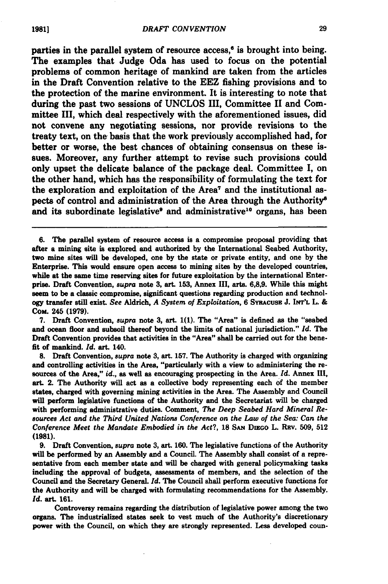parties in the parallel system of resource  $access^{\alpha}$  is brought into being. The examples that Judge Oda has used to focus on the potential problems of common heritage of mankind are taken from the articles in the Draft Convention relative to the EEZ fishing provisions and to the protection of the marine environment. It is interesting to note that during the past two sessions of **UNCLOS** III, Committee II and Committee **III,** which deal respectively with the aforementioned issues, did not convene any negotiating sessions, nor provide revisions to the treaty text, on the basis that the work previously accomplished had, for better or worse, the best chances of obtaining consensus on these issues. Moreover, any further attempt to revise such provisions could only upset the delicate balance of the package deal. Committee **I,** on the other hand, which has the responsibility of formulating the text for the exploration and exploitation of the Area7 and the institutional aspects of control and administration of the Area through the Authority' and its subordinate legislative<sup>9</sup> and administrative<sup>10</sup> organs, has been

**8.** Draft Convention, *supra* note **3,** art. **157.** The Authority is charged with organizing and controlling activities in the Area, "particularly with a view to administering the resources of the Area," *id.,* as well as encouraging prospecting in the Area. *Id.* Annex **III,** art. 2. The Authority will act as a collective body representing each of the member states, charged with governing mining activities in the Area. The Assembly and Council will perform legislative functions of the Authority and the Secretariat will be charged with performing administrative duties. Comment, *The Deep Seabed Hard Mineral Resources Act and the Third United Nations Conference on the Law of the Sea: Can the Conference Meet the Mandate Embodied in the Act?,* 18 SAN DIEGO L. REv. 509, 512 **(1981).**

**9.** Draft Convention, *supra* note **3,** art. **160.** The legislative functions of the Authority will be performed **by** an Assembly and a Council. The Assembly shall consist of a representative from each member state and will be charged with general policymaking tasks including the approval of budgets, assessments of members, and the selection of the Council and the Secretary General. *Id.* The Council shall perform executive functions for the Authority and will be charged with formulating recommendations for the Assembly. *Id.* art. **161.**

Controversy remains regarding the distribution of legislative power among the two organs. The industrialized states seek to vest much of the Authority's discretionary power with the Council, on which they are strongly represented. Less developed coun-

**<sup>6.</sup>** The parallel system of resource access is a compromise proposal providing that after a mining site is explored and authorized **by** the International Seabed Authority, two mine sites will be developed, one **by** the state or private entity, and one **by** the Enterprise. This would ensure open access to mining sites **by** the developed countries, while at the same time reserving sites for future exploitation **by** the international Enterprise. Draft Convention, *supra* note **3,** art. **153,** Annex **III,** arts. **6,8,9.** While this might seem to be a classic compromise, significant questions regarding production and technology transfer still exist. *See* Aldrich, *A System of Exploitation,* **6** SYRAcUSE **J. INT'L** L. **&** CoM. **245 (1979).**

**<sup>7.</sup>** Draft Convention, *supra* note **3,** art. **1(1).** The "Area" is defined as the "seabed and ocean floor and subsoil thereof beyond the limits of national jurisdiction." *Id.* The Draft Convention provides that activities in the "Area" shall be carried out for the benefit of mankind. *Id.* art. 140.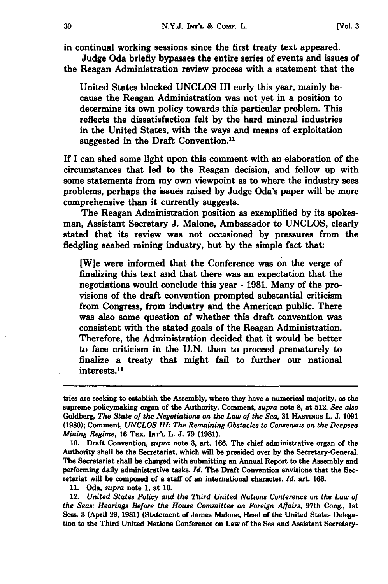in continual working sessions since the first treaty text appeared. Judge Oda briefly bypasses the entire series of events and issues of

the Reagan Administration review process with a statement that the

United States blocked **UNCLOS** III early this year, mainly be-\* cause the Reagan Administration was not yet in a position to determine its own policy towards this particular problem. This reflects the dissatisfaction felt **by** the hard mineral industries in the United States, with the ways and means of exploitation suggested in the Draft Convention.<sup>11</sup>

If **I** can shed some light upon this comment with an elaboration of the circumstances that led to the Reagan decision, and follow up with some statements from my own viewpoint as to where the industry sees problems, perhaps the issues raised **by** Judge Oda's paper will be more comprehensive than it currently suggests.

The Reagan Administration position as exemplified **by** its spokesman, Assistant Secretary **J.** Malone, Ambassador to **UNCLOS,** clearly stated that its review was not occasioned **by** pressures from the fledgling seabed mining industry, but **by** the simple fact that:

[W]e were informed that the Conference was on the verge of finalizing this text and that there was an expectation that the negotiations would conclude this year **- 1981.** Many of the provisions of the draft convention prompted substantial criticism from Congress, from industry and the American public. There was also some question of whether this draft convention was consistent with the stated goals of the Reagan Administration. Therefore, the Administration decided that it would be better to face criticism in the **U.N.** than to proceed prematurely to finalize a treaty that might fail to further our national interests.<sup>12</sup>

**10.** Draft Convention, *supra* note **3,** art. **166.** The chief administrative organ of the Authority shall be the Secretariat, which will be presided over **by** the Secretary-General. The Secretariat shall be charged with submitting an Annual Report to the Assembly and performing daily administrative tasks. *Id.* The Draft Convention envisions that the Secretariat will be composed of a staff of an international character. *Id.* art. **168.**

**11.** Oda, *supra* note **1,** at **10.**

12. *United States Policy and the Third United Nations Conference on the Law of the Seas: Hearings Before the House Committee on Foreign Affairs,* 97th Cong., **1st** Sess. **3** (April **29, 1981)** (Statement of James Malone, Head of the United States Delegation to the Third United Nations Conference on Law of the Sea and Assistant Secretary-

tries are seeking to establish the Assembly, where they have a numerical majority, as the supreme policymaking organ of the Authority. Comment, supra note **8,** at **512.** *See also* Goldberg, *The State of the Negotiations on the Law of the Sea,* **31** HASTINGs L. **J. 1091 (1980);** Comment, *UNCLOS III: The Remaining Obstacles to Consensus on the Deepsea Mining Regime,* **16** Tax. **INrr'L** L. **J. 79 (1981).**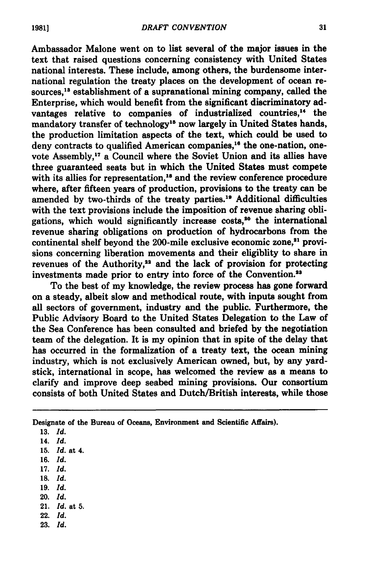Ambassador Malone went on to list several of the major issues in the text that raised questions concerning consistency with United States national interests. These include, among others, the burdensome international regulation the treaty places on the development of ocean resources,<sup>18</sup> establishment of a supranational mining company, called the Enterprise, which would benefit from the significant discriminatory advantages relative to companies of industrialized countries,<sup>14</sup> the mandatory transfer of technology<sup>15</sup> now largely in United States hands, the production limitation aspects of the text, which could be used to deny contracts to qualified American companies,<sup>16</sup> the one-nation, onevote Assembly,<sup>17</sup> a Council where the Soviet Union and its allies have three guaranteed seats but in which the United States must compete with its allies for representation,<sup>18</sup> and the review conference procedure where, after fifteen years of production, provisions to the treaty can be amended by two-thirds of the treaty parties.<sup>19</sup> Additional difficulties with the text provisions include the imposition of revenue sharing obligations, which would significantly increase costs,<sup>20</sup> the international revenue sharing obligations on production of hydrocarbons from the continental shelf beyond the 200-mile exclusive economic zone,<sup>21</sup> provisions concerning liberation movements and their eligiblity to share in revenues of the Authority,<sup>22</sup> and the lack of provision for protecting investments made prior to entry into force of the Convention.<sup>23</sup>

To the best of my knowledge, the review process has gone forward on a steady, albeit slow and methodical route, with inputs sought from all sectors of government, industry and the public. Furthermore, the Public Advisory Board to the United States Delegation to the Law of the Sea Conference has been consulted and briefed **by** the negotiation team of the delegation. It is my opinion that in spite of the delay that has occurred in the formalization of a treaty text, the ocean mining industry, which is not exclusively American owned, but, **by** any yardstick, international in scope, has welcomed the review as a means to clarify and improve deep seabed mining provisions. Our consortium consists of both United States and Dutch/British interests, while those

Designate of the Bureau of Oceans, Environment and Scientific Affairs).

- **15.** *Id.* at 4.
- **16.** *Id.*

- **18.** *Id.*
- **19.** *Id.*
- 20. *Id.*
- 21. Id. at **5.**
- 22. Id. **23.** Id.

**<sup>13.</sup>** *Id.*

<sup>14.</sup> *Id.*

**<sup>17.</sup>** *Id.*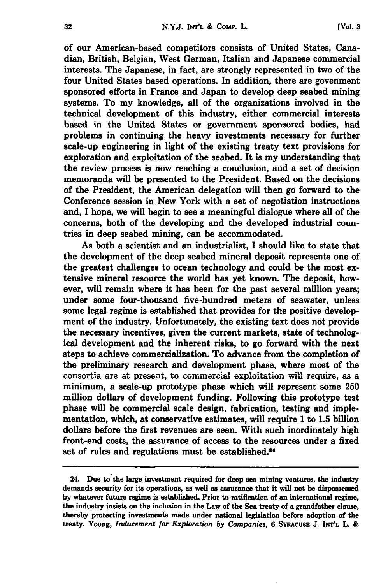of our American-based competitors consists of United States, Canadian, British, Belgian, West German, Italian and Japanese commercial interests. The Japanese, in fact, are strongly represented in two of the four United States based operations. In addition, there are govenment sponsored efforts in France and Japan to develop deep seabed mining systems. To my knowledge, all of the organizations involved in the technical development of this industry, either commercial interests based in the United States or government sponsored bodies, had problems in continuing the heavy investments necessary for further scale-up engineering in light of the existing treaty text provisions for exploration and exploitation of the seabed. It is my understanding that the review process is now reaching a conclusion, and a set of decision memoranda will be presented to the President. Based on the decisions of the President, the American delegation will then go forward to the Conference session in New York with a set of negotiation instructions and, **I** hope, we will begin to see a meaningful dialogue where **all** of the concerns, both of the developing and the developed industrial countries in deep seabed mining, can be accommodated.

As both a scientist and an industrialist, I should like to state that the development of the deep seabed mineral deposit represents one of the greatest challenges to ocean technology and could be the most extensive mineral resource the world has yet known. The deposit, however, will remain where it has been for the past several million years; under some four-thousand five-hundred meters of seawater, unless some legal regime is established that provides for the positive development of the industry. Unfortunately, the existing text does not provide the necessary incentives, given the current markets, state of technological development and the inherent risks, to go forward with the next steps to achieve commercialization. To advance from the completion of the preliminary research and development phase, where most of the consortia are at present, to commercial exploitation will require, as a minimum, a scale-up prototype phase which will represent some **250** million dollars of development funding. Following this prototype test phase will be commercial scale design, fabrication, testing and implementation, which, at conservative estimates, will require **1** to **1.5** billion dollars before the first revenues are seen. With such inordinately high front-end costs, the assurance of access to the resources under a fixed set of rules and regulations must be established.<sup>24</sup>

<sup>24.</sup> Due to the large investment required for deep sea mining ventures, the industry demands security for its operations, as well as assurance that it will not be dispossessed **by** whatever future regime is established. Prior to ratification of an international regime, the industry insists on the inclusion in the Law of the Sea treaty of a grandfather clause, thereby protecting investments made under national legislation before adoption of the treaty. Young, *Inducement for Exploration by Companies,* **6** SvRAcusz **J. INrrL** L. **&**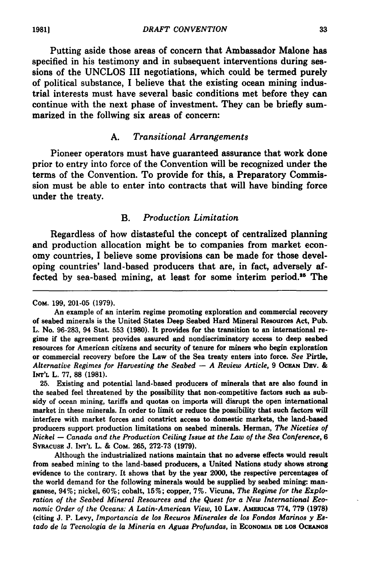Putting aside those areas of concern that Ambassador Malone has specified in his testimony and in subsequent interventions during sessions of the **UNCLOS** III negotiations, which could be termed purely of political substance, I believe that the existing ocean mining industrial interests must have several basic conditions met before they can continue with the next phase of investment. They can be briefly summarized in the follwing six areas of concern:

#### **A.** *Transitional Arrangements*

Pioneer operators must have guaranteed assurance that work done prior to entry into force of the Convention will be recognized under the terms of the Convention. To provide for this, a Preparatory Commission must be able to enter into contracts that will have binding force under the treaty.

#### B. *Production Limitation*

Regardless of how distasteful the concept of centralized planning and production allocation might be to companies from market economy countries, I believe some provisions can be made for those developing countries' land-based producers that are, in fact, adversely affected by sea-based mining, at least for some interim period.<sup>35</sup> The

**25.** Existing and potential land-based producers of minerals that are also found in the seabed feel threatened **by** the possibility that non-competitive factors such as subsidy of ocean mining, tariffs and quotas on imports will disrupt the open international market in these minerals. In order to limit or reduce the possibility that such factors wil interfere with market forces and constrict access to domestic markets, the land-based producers support production limitations on seabed minerals. Herman, *The Niceties of Nickel* **-** *Canada and the Production Ceiling Issue at the Law of the Sea Conference, 6* **SYRACUSE J. INT'L** L. **&** COM. **265, 272-73 (1979).**

Although the industrialized nations maintain that no adverse effects would result from seabed mining to the land-based producers, a United Nations study shows strong evidence to the contrary. It shows that **by** the year 2000, the respective percentages of the world demand for the following minerals would be supplied **by** seabed mining: manganese, 94%; nickel, **60%;** cobalt, **15%;** copper, **7%.** Vicuna, *The Regime for the Exploration of the Seabed Mineral Resources and the Quest for a New International Economic Order of the Oceans: A Latin-American View,* **10** LAw. AmRicAS **774, 779 (1978)** (citing **J.** P. Levy, *Importancia de los Recuros Minerales de los Fondos Marinos y Estado de la Tecnologia de la Mineria en Aguas Profundas,* in **ECONOMIA DR LOS OCiANOS**

**CoM. 199, 201-05 (1979).**

An example of an interim regime promoting exploration and commercial recovery of seabed minerals is the United States Deep Seabed Hard Mineral Resources Act, Pub. L. No. **96-283,** 94 Stat. **553 (1980).** It provides for the transition to an international regime if the agreement provides assured and nondiscriminatory access to deep seabed resources for American citizens and security of tenure for miners who begin exploration or commercial recovery before the Law of the Sea treaty enters into force. *See* Pirtle, *Alternative Regimes for Harvesting the Seabed* **-** *A Review Article,* **9** OCEAN DRv. **& INT'L** L. **77, 88 (1981).**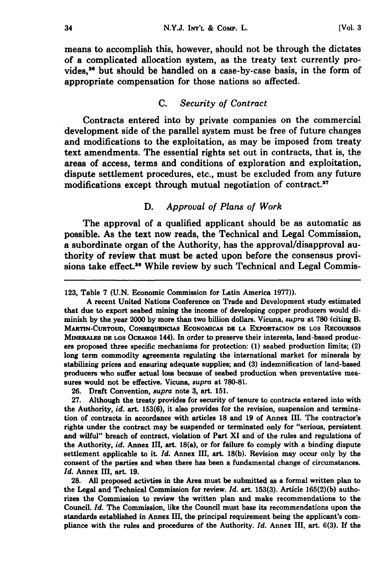means to accomplish this, however, should not be through the dictates of a complicated allocation system, as the treaty text currently provides,<sup>26</sup> but should be handled on a case-by-case basis, in the form of appropriate compensation for those nations so affected.

#### **C.** *Security of Contract*

Contracts entered into **by** private companies on the commercial development side of the parallel system must be free of future changes and modifications to the exploitation, as may be imposed from treaty text amendments. The essential rights set out in contracts, that is, the areas of access, terms and conditions of exploration and exploitation, dispute settlement procedures, etc., must be excluded from any future modifications except through mutual negotiation of contract.<sup>27</sup>

#### *D. Approval of Plans of Work*

The approval of a qualified applicant should be as automatic as possible. As the text now reads, the Technical and Legal Commission, a subordinate organ of the Authority, has the approval/disapproval authority of review that must be acted upon before the consensus provisions take effect.<sup>28</sup> While review by such Technical and Legal Commis-

**123,** Table **7 (U.N.** Economic Commission for Latin America **1977)).**

**A** recent United Nations Conference on Trade and Development study estimated that due to export seabed mining the income of developing copper producers would diminish **by** the year 2000 **by** more than two billion dollars. Vicuna, *supra* at **780** (citing B. MARTIN-CURTOUD, **CONSEQUENCIAS** EONOMICAS **DR** LA EXPORTACION **DE LOS** REcouRSos MINERALES **DR** LOS **OCEAOS** 144). In order to preserve their interests, land-based producers proposed three specific mechanisms for protection: **(1)** seabed production limits; (2) long term commodity agreements regulating the international market for minerals by stabilizing prices and ensuring adequate supplies; and **(3)** indemnification of land-based producers who suffer actual loss because of seabed production when preventative measures would not be effective. Vicuna, *supra* at **780-81.**

**26.** Draft Convention, *supra* note **3,** art. **151.**

**27.** Although the treaty provides for security of tenure to contracts entered into with the Authority, *id.* art. **153(6),** it also provides for the revision, suspension and termination of contracts in accordance with articles **18** and **19** of Annex **III.** The contractor's rights under the contract may be suspended or terminated only for "serious, persistent and wilful" breach of contract, violation of Part XI and of the rules and regulations of the Authority, *id.* Annex III, art. **18(a),** or for failure fo comply with a binding dispute settlement applicable to it. *Id.* Annex III, art. **18(b).** Revision may occur only **by** the consent of the parties and when there has been a fundamental change of circumstances. *Id.* Annex III, art. **19.**

**28. All** proposed activties in the Area must be submitted as a formal written plan to the Legal and Technical Commission for review. *Id.* art. **153(3).** Article **165(2)(b)** authorizes the Commission to review the written plan and make recommendations to the Council. *Id.* The Commission, like the Council must base its recommendations upon the standards established in Annex III, the principal requirement being the applicant's compliance with the rules and procedures of the Authority. *Id.* Annex III, art. **6(3). If** the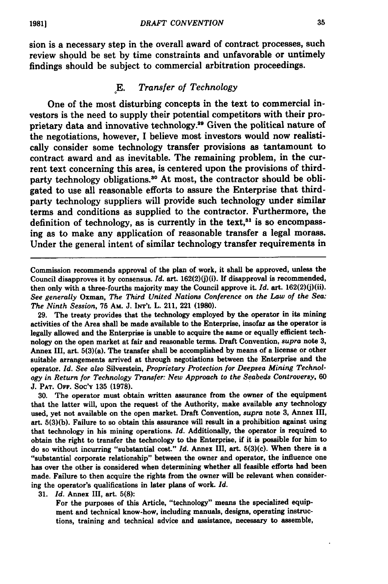sion is a necessary step in the overall award of contract processes, such review should be set **by** time constraints and unfavorable or untimely findings should be subject to commercial arbitration proceedings.

#### *oE. Transfer of Technology*

One of the most disturbing concepts in the text to commercial investors is the need to supply their potential competitors with their proprietary data and innovative technology.<sup>29</sup> Given the political nature of the negotiations, however, I believe most investors would now realistically consider some technology transfer provisions as tantamount to contract award and as inevitable. The remaining problem, in the current text concerning this area, is centered upon the provisions of thirdparty technology obligations.<sup>30</sup> At most, the contractor should be obligated to use all reasonable efforts to assure the Enterprise that thirdparty technology suppliers will provide such technology under similar terms and conditions as supplied to the contractor. Furthermore, the definition of technology, as is currently in the text, $31$  is so encompassing as to make any application of reasonable transfer a legal morass. Under the general intent of similar technology transfer requirements in

29. The treaty provides that the technology employed by the operator in its mining activities of the Area shall be made available to the Enterprise, insofar as the operator is legally allowed and the Enterprise is unable to acquire the same or equally efficient technology on the open market at fair and reasonable terms. Draft Convention, *supra* note **3,** Annex III, art. 5(3)(a). The transfer shall be accomplished **by** means of a license or other suitable arrangements arrived at through negotiations between the Enterprise and the operator. *Id. See also* Silverstein, *Proprietary Protection for Deepsea Mining Technology in Return for Technology Transfer: New Approach to the Seabeds Controversy, 60* **J. PAT. OFF.** Soc'Y **135 (1978).**

**30.** The operator must obtain written assurance from the owner of the equipment that the latter will, upon the request of the Authority, make available any technology used, yet not available on the open market. Draft Convention, *supra* note **3,** Annex III, art. **5(3)(b).** Failure to so obtain this assurance will result in a prohibition against using that technology in his mining operations. *Id.* Additionally, the operator is required to **obtain** the right to transfer the technology to the Enterprise, if it is possible for him to do so without incurring "substantial cost." *Id.* Annex III, art. 5(3)(c). When there is a "substantial corporate relationship" between the owner and operator, the influence one has over the other is considered when determining whether all feasible efforts had been made. Failure to then acquire the rights from the owner will be relevant when considering the operator's qualifications in later plans of work. *Id.*

**31.** *Id.* Annex III, art. **5(8):**

For the purposes of this Article, "technology" means the specialized equipment and technical know-how, including manuals, designs, operating instructions, training and technical advice and assistance, necessary to assemble,

Commission recommends approval of the plan of work, it shall be approved, unless the Council disapproves it **by** consensus. *Id.* art. 162(2)(j)(i). If disapproval is recommended, then only with a three-fourths majority may the Council approve it. *Id.* art. 162(2)(j)(ii). *See generally* Oxman, *The Third United Nations Conference on the Law of the Sea: The Ninth Session,* 75 **AM.** J. **INT'L** L. 211, 221 **(1980).**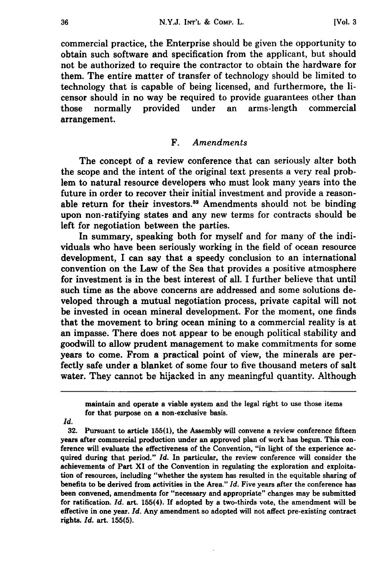commercial practice, the Enterprise should be given the opportunity to obtain such software and specification from the applicant, but should not be authorized to require the contractor to obtain the hardware for them. The entire matter of transfer of technology should be limited to technology that is capable of being licensed, and furthermore, the licensor should in no way be required to provide guarantees other than those normally provided under an arms-length commercial arrangement.

#### F. *Amendments*

The concept of a review conference that can seriously alter both the scope and the intent of the original text presents a very real problem to natural resource developers who must look many years into the future in order to recover their initial investment and provide a reasonable return for their investors.<sup>32</sup> Amendments should not be binding upon non-ratifying states and any new terms for contracts should be left for negotiation between the parties.

In summary, speaking both for myself and for many of the individuals who have been seriously working in the field of ocean resource development, I can say that a speedy conclusion to an international convention on the Law of the Sea that provides a positive atmosphere for investment is in the best interest of all. I further believe that until such time as the above concerns are addressed and some solutions developed through a mutual negotiation process, private capital will not be invested in ocean mineral development. For the moment, one finds that the movement to bring ocean mining to a commercial reality is at an impasse. There does not appear to be enough political stability and goodwill to allow prudent management to make commitments for some years to come. From a practical point of view, the minerals are perfectly safe under a blanket of some four to five thousand meters of salt water. They cannot be hijacked in any meaningful quantity. Although

*Id.*

32. Pursuant to article 155(1), the Assembly will convene a review conference fifteen years after commercial production under an approved plan of work has begun. This conference will evaluate the effectiveness of the Convention, "in light of the experience acquired during that period." *Id.* In particular, the review conference will consider the achievements of Part XI of the Convention in regulating the exploration and exploitation of resources, including "whether the system has resulted in the equitable sharing of benefits to be derived from activities in the Area." *Id.* Five years after the conference has been convened, amendments for "necessary and appropriate" changes may be submitted for ratification. *Id.* art. 155(4). If adopted by a two-thirds vote, the amendment will be effective in one year. *Id.* Any amendment so adopted will not affect pre-existing contract rights. *Id.* art. **155(5).**

maintain and operate a viable system and the legal right to use those items for that purpose on a non-exclusive basis.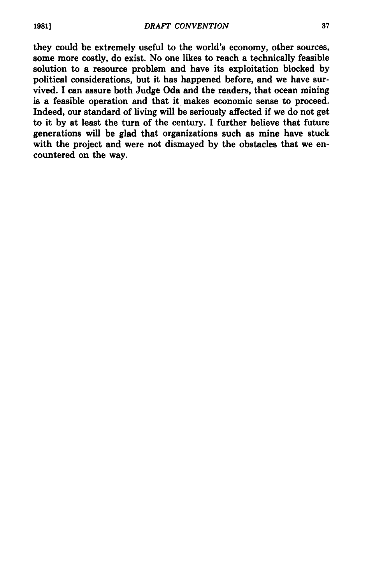they could be extremely useful to the world's economy, other sources, some more costly, do exist. No one likes to reach a technically feasible solution to a resource problem and have its exploitation blocked **by** political considerations, but it has happened before, and we have survived. **I** can assure both Judge Oda and the readers, that ocean mining is a feasible operation and that it makes economic sense to proceed. Indeed, our standard of living will be seriously affected if we do not get to it **by** at least the turn of the century. I further believe that future generations will be glad that organizations such as mine have stuck with the project and were not dismayed **by** the obstacles that we encountered on the way.